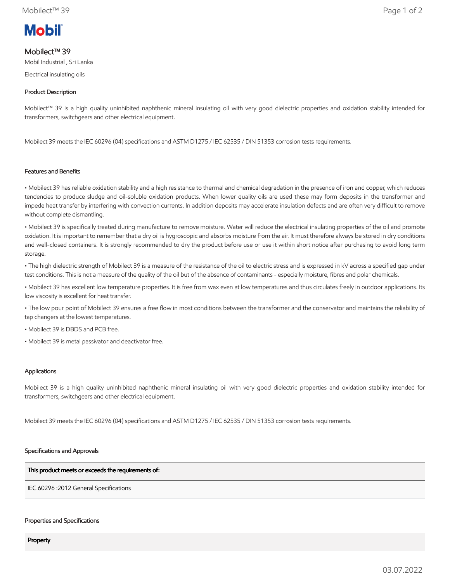# **Mobil**

# Mobilect™ 39

Mobil Industrial , Sri Lanka

Electrical insulating oils

# Product Description

Mobilect™ 39 is a high quality uninhibited naphthenic mineral insulating oil with very good dielectric properties and oxidation stability intended for transformers, switchgears and other electrical equipment.

Mobilect 39 meets the IEC 60296 (04) specifications and ASTM D1275 / IEC 62535 / DIN 51353 corrosion tests requirements.

## Features and Benefits

• Mobilect 39 has reliable oxidation stability and a high resistance to thermal and chemical degradation in the presence of iron and copper, which reduces tendencies to produce sludge and oil-soluble oxidation products. When lower quality oils are used these may form deposits in the transformer and impede heat transfer by interfering with convection currents. In addition deposits may accelerate insulation defects and are often very difficult to remove without complete dismantling.

• Mobilect 39 is specifically treated during manufacture to remove moisture. Water will reduce the electrical insulating properties of the oil and promote oxidation. It is important to remember that a dry oil is hygroscopic and absorbs moisture from the air. It must therefore always be stored in dry conditions and well-closed containers. It is strongly recommended to dry the product before use or use it within short notice after purchasing to avoid long term storage.

• The high dielectric strength of Mobilect 39 is a measure of the resistance of the oil to electric stress and is expressed in kV across a specified gap under test conditions. This is not a measure of the quality of the oil but of the absence of contaminants - especially moisture, fibres and polar chemicals.

• Mobilect 39 has excellent low temperature properties. It is free from wax even at low temperatures and thus circulates freely in outdoor applications. Its low viscosity is excellent for heat transfer.

• The low pour point of Mobilect 39 ensures a free flow in most conditions between the transformer and the conservator and maintains the reliability of tap changers at the lowest temperatures.

• Mobilect 39 is DBDS and PCB free.

• Mobilect 39 is metal passivator and deactivator free.

#### Applications

Mobilect 39 is a high quality uninhibited naphthenic mineral insulating oil with very good dielectric properties and oxidation stability intended for transformers, switchgears and other electrical equipment.

Mobilect 39 meets the IEC 60296 (04) specifications and ASTM D1275 / IEC 62535 / DIN 51353 corrosion tests requirements.

#### Specifications and Approvals

This product meets or exceeds the requirements of:

IEC 60296 :2012 General Specifications

#### Properties and Specifications

Property